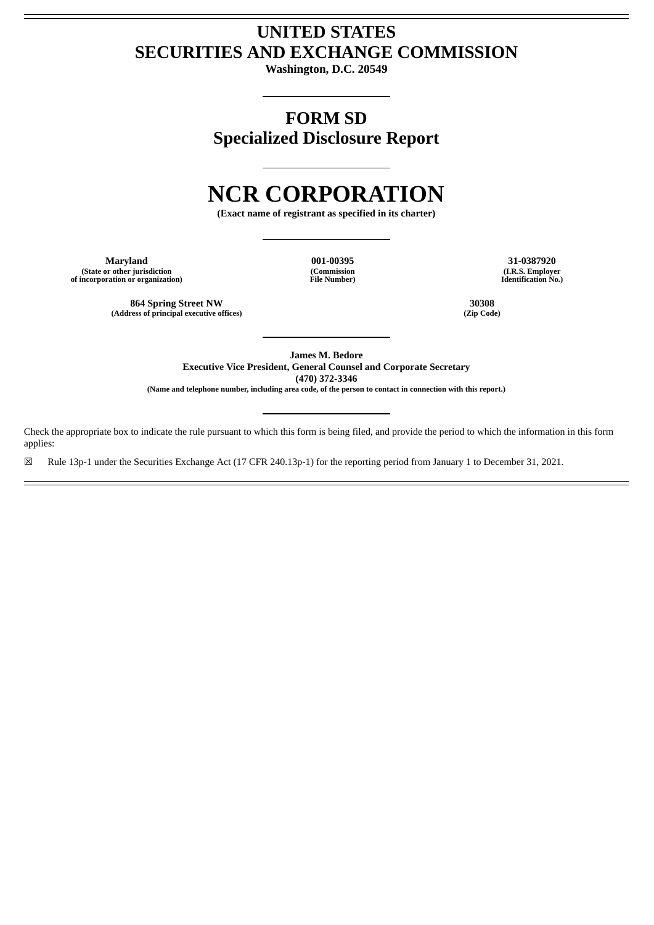## **UNITED STATES SECURITIES AND EXCHANGE COMMISSION**

**Washington, D.C. 20549**

**FORM SD Specialized Disclosure Report**

# **NCR CORPORATION**

**(Exact name of registrant as specified in its charter)**

**Maryland 001-00395 31-0387920 (State or other jurisdiction of incorporation or organization)**

**(Commission File Number)**

**(I.R.S. Employer Identification No.)**

**864 Spring Street NW 30308 (Address of principal executive offices) (Zip Code)**

**James M. Bedore Executive Vice President, General Counsel and Corporate Secretary (470) 372-3346**

(Name and telephone number, including area code, of the person to contact in connection with this report.)

Check the appropriate box to indicate the rule pursuant to which this form is being filed, and provide the period to which the information in this form applies:

☒ Rule 13p-1 under the Securities Exchange Act (17 CFR 240.13p-1) for the reporting period from January 1 to December 31, 2021.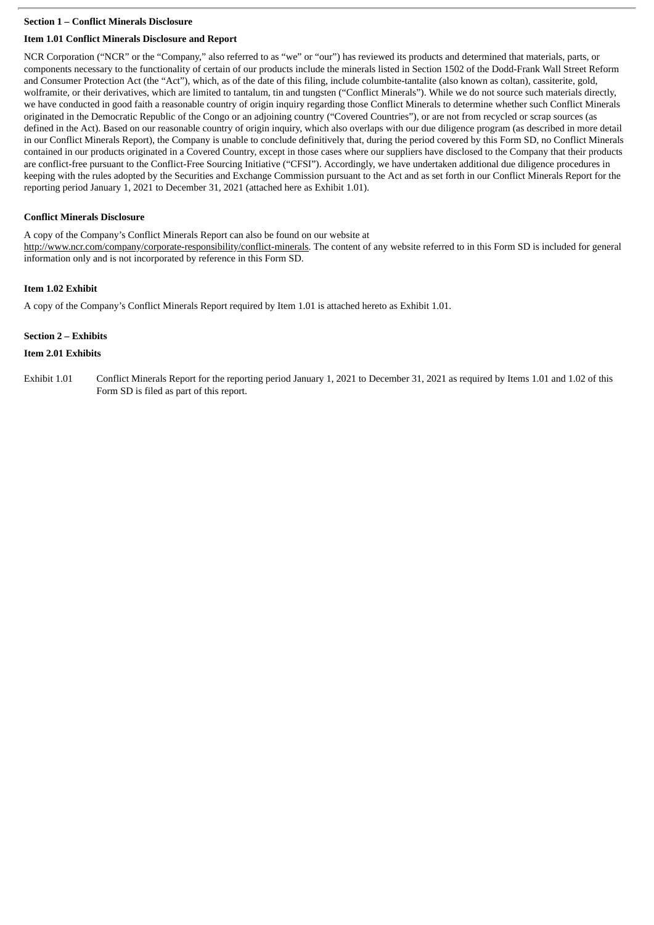#### **Section 1 – Conflict Minerals Disclosure**

#### **Item 1.01 Conflict Minerals Disclosure and Report**

NCR Corporation ("NCR" or the "Company," also referred to as "we" or "our") has reviewed its products and determined that materials, parts, or components necessary to the functionality of certain of our products include the minerals listed in Section 1502 of the Dodd-Frank Wall Street Reform and Consumer Protection Act (the "Act"), which, as of the date of this filing, include columbite-tantalite (also known as coltan), cassiterite, gold, wolframite, or their derivatives, which are limited to tantalum, tin and tungsten ("Conflict Minerals"). While we do not source such materials directly, we have conducted in good faith a reasonable country of origin inquiry regarding those Conflict Minerals to determine whether such Conflict Minerals originated in the Democratic Republic of the Congo or an adjoining country ("Covered Countries"), or are not from recycled or scrap sources (as defined in the Act). Based on our reasonable country of origin inquiry, which also overlaps with our due diligence program (as described in more detail in our Conflict Minerals Report), the Company is unable to conclude definitively that, during the period covered by this Form SD, no Conflict Minerals contained in our products originated in a Covered Country, except in those cases where our suppliers have disclosed to the Company that their products are conflict-free pursuant to the Conflict-Free Sourcing Initiative ("CFSI"). Accordingly, we have undertaken additional due diligence procedures in keeping with the rules adopted by the Securities and Exchange Commission pursuant to the Act and as set forth in our Conflict Minerals Report for the reporting period January 1, 2021 to December 31, 2021 (attached here as Exhibit 1.01).

#### **Conflict Minerals Disclosure**

A copy of the Company's Conflict Minerals Report can also be found on our website at http://www.ncr.com/company/corporate-responsibility/conflict-minerals. The content of any website referred to in this Form SD is included for general information only and is not incorporated by reference in this Form SD.

#### **Item 1.02 Exhibit**

A copy of the Company's Conflict Minerals Report required by Item 1.01 is attached hereto as Exhibit 1.01.

#### **Section 2 – Exhibits**

#### **Item 2.01 Exhibits**

Exhibit 1.01 Conflict Minerals Report for the reporting period January 1, 2021 to December 31, 2021 as required by Items 1.01 and 1.02 of this Form SD is filed as part of this report.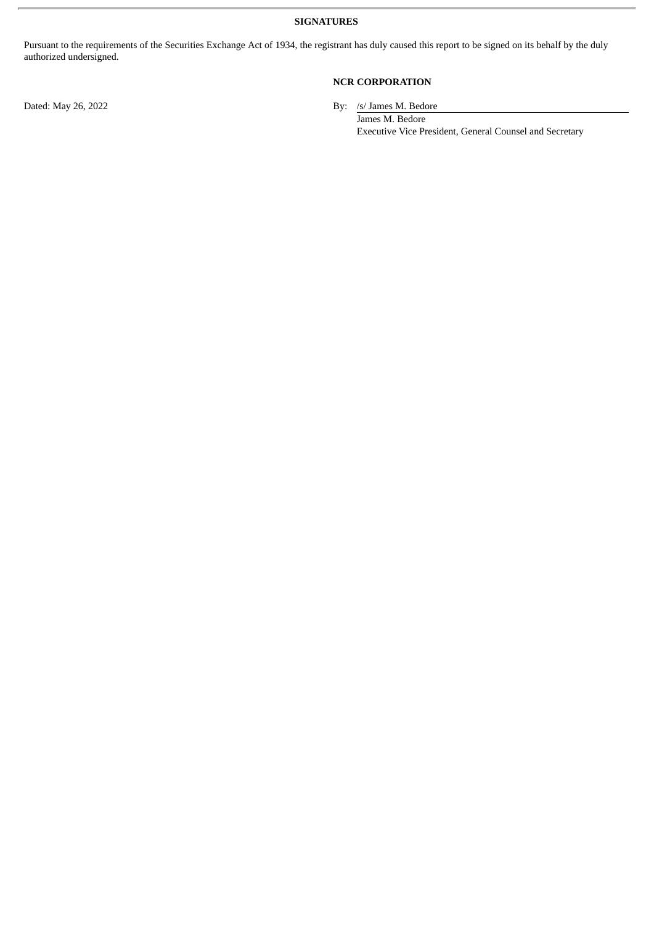**SIGNATURES**

Pursuant to the requirements of the Securities Exchange Act of 1934, the registrant has duly caused this report to be signed on its behalf by the duly authorized undersigned.

### **NCR CORPORATION**

Dated: May 26, 2022 By: /s/ James M. Bedore

James M. Bedore Executive Vice President, General Counsel and Secretary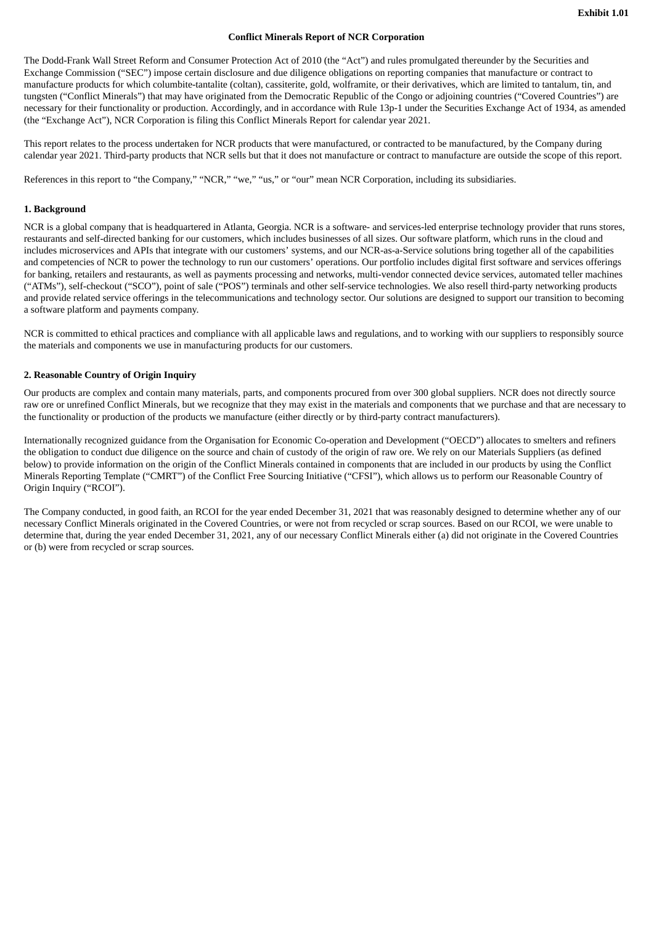#### **Conflict Minerals Report of NCR Corporation**

The Dodd-Frank Wall Street Reform and Consumer Protection Act of 2010 (the "Act") and rules promulgated thereunder by the Securities and Exchange Commission ("SEC") impose certain disclosure and due diligence obligations on reporting companies that manufacture or contract to manufacture products for which columbite-tantalite (coltan), cassiterite, gold, wolframite, or their derivatives, which are limited to tantalum, tin, and tungsten ("Conflict Minerals") that may have originated from the Democratic Republic of the Congo or adjoining countries ("Covered Countries") are necessary for their functionality or production. Accordingly, and in accordance with Rule 13p-1 under the Securities Exchange Act of 1934, as amended (the "Exchange Act"), NCR Corporation is filing this Conflict Minerals Report for calendar year 2021.

This report relates to the process undertaken for NCR products that were manufactured, or contracted to be manufactured, by the Company during calendar year 2021. Third-party products that NCR sells but that it does not manufacture or contract to manufacture are outside the scope of this report.

References in this report to "the Company," "NCR," "we," "us," or "our" mean NCR Corporation, including its subsidiaries.

#### **1. Background**

NCR is a global company that is headquartered in Atlanta, Georgia. NCR is a software- and services-led enterprise technology provider that runs stores, restaurants and self-directed banking for our customers, which includes businesses of all sizes. Our software platform, which runs in the cloud and includes microservices and APIs that integrate with our customers' systems, and our NCR-as-a-Service solutions bring together all of the capabilities and competencies of NCR to power the technology to run our customers' operations. Our portfolio includes digital first software and services offerings for banking, retailers and restaurants, as well as payments processing and networks, multi-vendor connected device services, automated teller machines ("ATMs"), self-checkout ("SCO"), point of sale ("POS") terminals and other self-service technologies. We also resell third-party networking products and provide related service offerings in the telecommunications and technology sector. Our solutions are designed to support our transition to becoming a software platform and payments company.

NCR is committed to ethical practices and compliance with all applicable laws and regulations, and to working with our suppliers to responsibly source the materials and components we use in manufacturing products for our customers.

#### **2. Reasonable Country of Origin Inquiry**

Our products are complex and contain many materials, parts, and components procured from over 300 global suppliers. NCR does not directly source raw ore or unrefined Conflict Minerals, but we recognize that they may exist in the materials and components that we purchase and that are necessary to the functionality or production of the products we manufacture (either directly or by third-party contract manufacturers).

Internationally recognized guidance from the Organisation for Economic Co-operation and Development ("OECD") allocates to smelters and refiners the obligation to conduct due diligence on the source and chain of custody of the origin of raw ore. We rely on our Materials Suppliers (as defined below) to provide information on the origin of the Conflict Minerals contained in components that are included in our products by using the Conflict Minerals Reporting Template ("CMRT") of the Conflict Free Sourcing Initiative ("CFSI"), which allows us to perform our Reasonable Country of Origin Inquiry ("RCOI").

The Company conducted, in good faith, an RCOI for the year ended December 31, 2021 that was reasonably designed to determine whether any of our necessary Conflict Minerals originated in the Covered Countries, or were not from recycled or scrap sources. Based on our RCOI, we were unable to determine that, during the year ended December 31, 2021, any of our necessary Conflict Minerals either (a) did not originate in the Covered Countries or (b) were from recycled or scrap sources.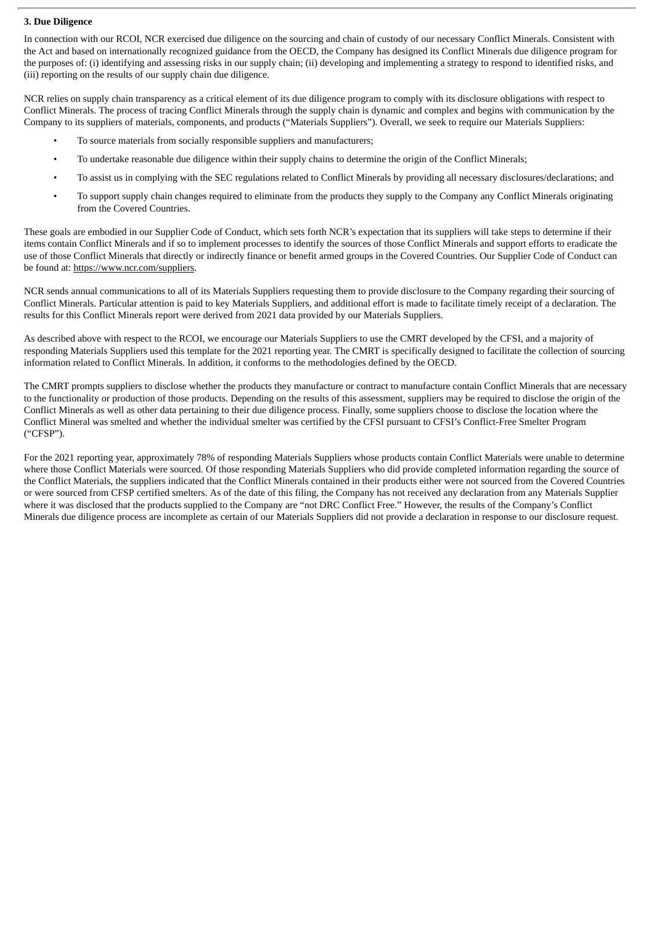#### **3. Due Diligence**

In connection with our RCOI, NCR exercised due diligence on the sourcing and chain of custody of our necessary Conflict Minerals. Consistent with the Act and based on internationally recognized guidance from the OECD, the Company has designed its Conflict Minerals due diligence program for the purposes of: (i) identifying and assessing risks in our supply chain; (ii) developing and implementing a strategy to respond to identified risks, and (iii) reporting on the results of our supply chain due diligence.

NCR relies on supply chain transparency as a critical element of its due diligence program to comply with its disclosure obligations with respect to Conflict Minerals. The process of tracing Conflict Minerals through the supply chain is dynamic and complex and begins with communication by the Company to its suppliers of materials, components, and products ("Materials Suppliers"). Overall, we seek to require our Materials Suppliers:

- To source materials from socially responsible suppliers and manufacturers;
- To undertake reasonable due diligence within their supply chains to determine the origin of the Conflict Minerals;
- To assist us in complying with the SEC regulations related to Conflict Minerals by providing all necessary disclosures/declarations; and
- To support supply chain changes required to eliminate from the products they supply to the Company any Conflict Minerals originating from the Covered Countries.

These goals are embodied in our Supplier Code of Conduct, which sets forth NCR's expectation that its suppliers will take steps to determine if their items contain Conflict Minerals and if so to implement processes to identify the sources of those Conflict Minerals and support efforts to eradicate the use of those Conflict Minerals that directly or indirectly finance or benefit armed groups in the Covered Countries. Our Supplier Code of Conduct can be found at: https://www.ncr.com/suppliers.

NCR sends annual communications to all of its Materials Suppliers requesting them to provide disclosure to the Company regarding their sourcing of Conflict Minerals. Particular attention is paid to key Materials Suppliers, and additional effort is made to facilitate timely receipt of a declaration. The results for this Conflict Minerals report were derived from 2021 data provided by our Materials Suppliers.

As described above with respect to the RCOI, we encourage our Materials Suppliers to use the CMRT developed by the CFSI, and a majority of responding Materials Suppliers used this template for the 2021 reporting year. The CMRT is specifically designed to facilitate the collection of sourcing information related to Conflict Minerals. In addition, it conforms to the methodologies defined by the OECD.

The CMRT prompts suppliers to disclose whether the products they manufacture or contract to manufacture contain Conflict Minerals that are necessary to the functionality or production of those products. Depending on the results of this assessment, suppliers may be required to disclose the origin of the Conflict Minerals as well as other data pertaining to their due diligence process. Finally, some suppliers choose to disclose the location where the Conflict Mineral was smelted and whether the individual smelter was certified by the CFSI pursuant to CFSI's Conflict-Free Smelter Program ("CFSP").

For the 2021 reporting year, approximately 78% of responding Materials Suppliers whose products contain Conflict Materials were unable to determine where those Conflict Materials were sourced. Of those responding Materials Suppliers who did provide completed information regarding the source of the Conflict Materials, the suppliers indicated that the Conflict Minerals contained in their products either were not sourced from the Covered Countries or were sourced from CFSP certified smelters. As of the date of this filing, the Company has not received any declaration from any Materials Supplier where it was disclosed that the products supplied to the Company are "not DRC Conflict Free." However, the results of the Company's Conflict Minerals due diligence process are incomplete as certain of our Materials Suppliers did not provide a declaration in response to our disclosure request.